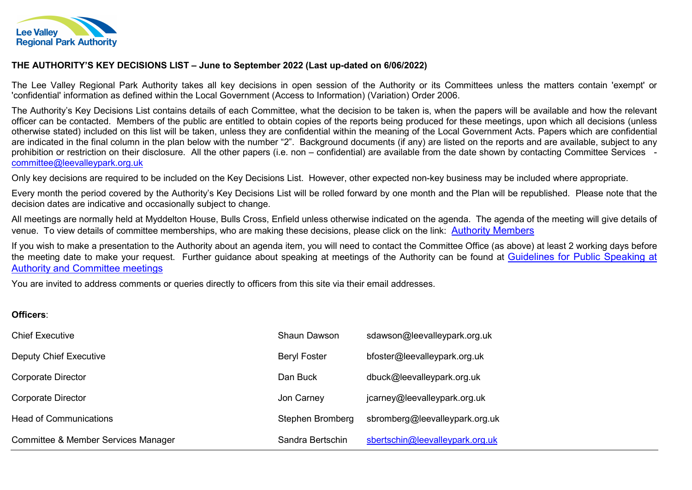

## THE AUTHORITY'S KEY DECISIONS LIST – June to September 2022 (Last up-dated on 6/06/2022)

The Lee Valley Regional Park Authority takes all key decisions in open session of the Authority or its Committees unless the matters contain 'exempt' or 'confidential' information as defined within the Local Government (Access to Information) (Variation) Order 2006.

The Authority's Key Decisions List contains details of each Committee, what the decision to be taken is, when the papers will be available and how the relevant officer can be contacted. Members of the public are entitled to obtain copies of the reports being produced for these meetings, upon which all decisions (unless otherwise stated) included on this list will be taken, unless they are confidential within the meaning of the Local Government Acts. Papers which are confidential are indicated in the final column in the plan below with the number "2". Background documents (if any) are listed on the reports and are available, subject to any prohibition or restriction on their disclosure. All the other papers (i.e. non – confidential) are available from the date shown by contacting Committee Services committee@leevalleypark.org.uk

Only key decisions are required to be included on the Key Decisions List. However, other expected non-key business may be included where appropriate.

Every month the period covered by the Authority's Key Decisions List will be rolled forward by one month and the Plan will be republished. Please note that the decision dates are indicative and occasionally subject to change.

All meetings are normally held at Myddelton House, Bulls Cross, Enfield unless otherwise indicated on the agenda. The agenda of the meeting will give details of venue. To view details of committee memberships, who are making these decisions, please click on the link: Authority Members

If you wish to make a presentation to the Authority about an agenda item, you will need to contact the Committee Office (as above) at least 2 working days before the meeting date to make your request. Further guidance about speaking at meetings of the Authority can be found at Guidelines for Public Speaking at Authority and Committee meetings

You are invited to address comments or queries directly to officers from this site via their email addresses.

## Officers:

| <b>Chief Executive</b>              | Shaun Dawson        | sdawson@leevalleypark.org.uk    |
|-------------------------------------|---------------------|---------------------------------|
| Deputy Chief Executive              | <b>Beryl Foster</b> | bfoster@leevalleypark.org.uk    |
| Corporate Director                  | Dan Buck            | dbuck@leevalleypark.org.uk      |
| <b>Corporate Director</b>           | Jon Carney          | jcarney@leevalleypark.org.uk    |
| <b>Head of Communications</b>       | Stephen Bromberg    | sbromberg@leevalleypark.org.uk  |
| Committee & Member Services Manager | Sandra Bertschin    | sbertschin@leevalleypark.org.uk |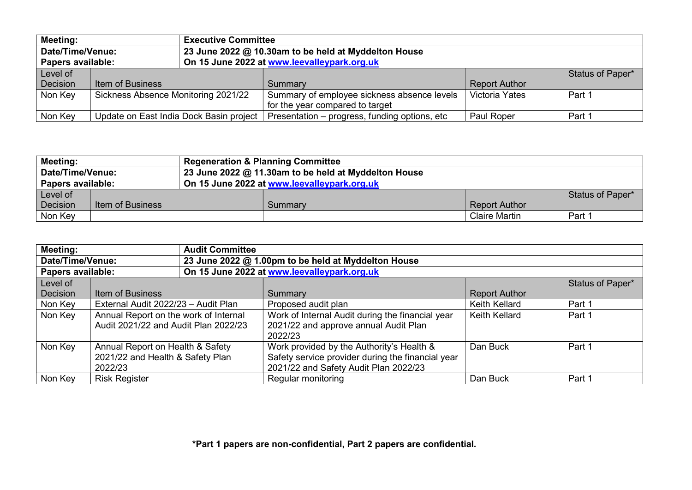| <b>Meeting:</b><br><b>Executive Committee</b>                            |                                     |                                         |                                               |                       |                  |
|--------------------------------------------------------------------------|-------------------------------------|-----------------------------------------|-----------------------------------------------|-----------------------|------------------|
| Date/Time/Venue:<br>23 June 2022 @ 10.30am to be held at Myddelton House |                                     |                                         |                                               |                       |                  |
| On 15 June 2022 at www.leevalleypark.org.uk<br>Papers available:         |                                     |                                         |                                               |                       |                  |
| Level of                                                                 |                                     |                                         |                                               |                       | Status of Paper* |
| Decision                                                                 | <b>Item of Business</b>             |                                         | Summary                                       | <b>Report Author</b>  |                  |
| Non Key                                                                  | Sickness Absence Monitoring 2021/22 |                                         | Summary of employee sickness absence levels   | <b>Victoria Yates</b> | Part 1           |
|                                                                          |                                     |                                         | for the year compared to target               |                       |                  |
| Non Key                                                                  |                                     | Update on East India Dock Basin project | Presentation - progress, funding options, etc | Paul Roper            | Part 1           |

| <b>Meeting:</b>                                                          |                                                                  | <b>Regeneration &amp; Planning Committee</b> |         |                      |                  |
|--------------------------------------------------------------------------|------------------------------------------------------------------|----------------------------------------------|---------|----------------------|------------------|
| Date/Time/Venue:<br>23 June 2022 @ 11.30am to be held at Myddelton House |                                                                  |                                              |         |                      |                  |
|                                                                          | Papers available:<br>On 15 June 2022 at www.leevalleypark.org.uk |                                              |         |                      |                  |
| Level of                                                                 |                                                                  |                                              |         |                      | Status of Paper* |
| Decision                                                                 | Item of Business                                                 |                                              | Summary | <b>Report Author</b> |                  |
| Non Key                                                                  |                                                                  |                                              |         | <b>Claire Martin</b> | Part 1           |

| <b>Meeting:</b><br><b>Audit Committee</b>                               |                                                                                 |  |                                                                                                                                         |                      |                  |
|-------------------------------------------------------------------------|---------------------------------------------------------------------------------|--|-----------------------------------------------------------------------------------------------------------------------------------------|----------------------|------------------|
| 23 June 2022 @ 1.00pm to be held at Myddelton House<br>Date/Time/Venue: |                                                                                 |  |                                                                                                                                         |                      |                  |
|                                                                         | On 15 June 2022 at www.leevalleypark.org.uk<br>Papers available:                |  |                                                                                                                                         |                      |                  |
| Level of                                                                |                                                                                 |  |                                                                                                                                         |                      | Status of Paper* |
| Decision                                                                | Item of Business                                                                |  | Summary                                                                                                                                 | <b>Report Author</b> |                  |
| Non Key                                                                 | External Audit 2022/23 - Audit Plan                                             |  | Proposed audit plan                                                                                                                     | Keith Kellard        | Part 1           |
| Non Key                                                                 | Annual Report on the work of Internal<br>Audit 2021/22 and Audit Plan 2022/23   |  | Work of Internal Audit during the financial year<br>2021/22 and approve annual Audit Plan<br>2022/23                                    | Keith Kellard        | Part 1           |
| Non Key                                                                 | Annual Report on Health & Safety<br>2021/22 and Health & Safety Plan<br>2022/23 |  | Work provided by the Authority's Health &<br>Safety service provider during the financial year<br>2021/22 and Safety Audit Plan 2022/23 | Dan Buck             | Part 1           |
| Non Key                                                                 | <b>Risk Register</b>                                                            |  | Regular monitoring                                                                                                                      | Dan Buck             | Part 1           |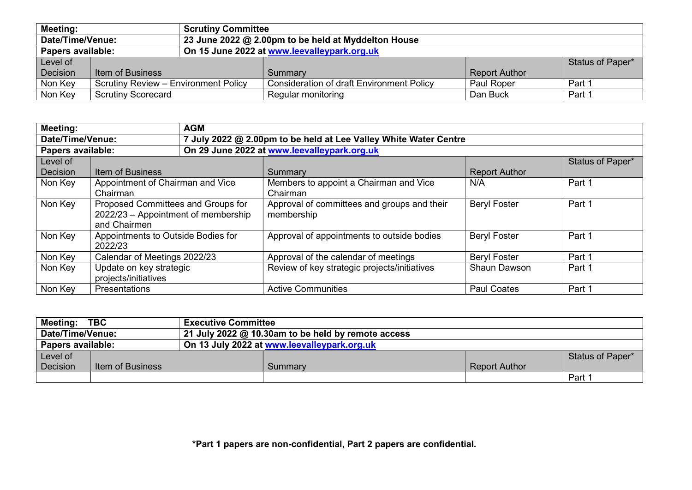| <b>Meeting:</b><br><b>Scrutiny Committee</b>                            |                                             |  |                                                  |                      |                  |
|-------------------------------------------------------------------------|---------------------------------------------|--|--------------------------------------------------|----------------------|------------------|
| Date/Time/Venue:<br>23 June 2022 @ 2.00pm to be held at Myddelton House |                                             |  |                                                  |                      |                  |
| Papers available:                                                       |                                             |  | On 15 June 2022 at www.leevalleypark.org.uk      |                      |                  |
| Level of                                                                |                                             |  |                                                  |                      | Status of Paper* |
| Decision                                                                | <b>Item of Business</b>                     |  | Summary                                          | <b>Report Author</b> |                  |
| Non Key                                                                 | <b>Scrutiny Review - Environment Policy</b> |  | <b>Consideration of draft Environment Policy</b> | Paul Roper           | Part 1           |
| Non Key                                                                 | <b>Scrutiny Scorecard</b>                   |  | Regular monitoring                               | Dan Buck             | Part 1           |

| <b>Meeting:</b><br><b>AGM</b>                                                        |                                     |  |                                              |                      |                  |
|--------------------------------------------------------------------------------------|-------------------------------------|--|----------------------------------------------|----------------------|------------------|
| Date/Time/Venue:<br>7 July 2022 @ 2.00pm to be held at Lee Valley White Water Centre |                                     |  |                                              |                      |                  |
| Papers available:                                                                    |                                     |  | On 29 June 2022 at www.leevalleypark.org.uk  |                      |                  |
| Level of                                                                             |                                     |  |                                              |                      | Status of Paper* |
| Decision                                                                             | Item of Business                    |  | Summary                                      | <b>Report Author</b> |                  |
| Non Key                                                                              | Appointment of Chairman and Vice    |  | Members to appoint a Chairman and Vice       | N/A                  | Part 1           |
|                                                                                      | Chairman                            |  | Chairman                                     |                      |                  |
| Non Key                                                                              | Proposed Committees and Groups for  |  | Approval of committees and groups and their  | <b>Beryl Foster</b>  | Part 1           |
|                                                                                      | 2022/23 - Appointment of membership |  | membership                                   |                      |                  |
|                                                                                      | and Chairmen                        |  |                                              |                      |                  |
| Non Key                                                                              | Appointments to Outside Bodies for  |  | Approval of appointments to outside bodies   | <b>Beryl Foster</b>  | Part 1           |
|                                                                                      | 2022/23                             |  |                                              |                      |                  |
| Non Key                                                                              | Calendar of Meetings 2022/23        |  | Approval of the calendar of meetings         | <b>Beryl Foster</b>  | Part 1           |
| Non Key                                                                              | Update on key strategic             |  | Review of key strategic projects/initiatives | <b>Shaun Dawson</b>  | Part 1           |
|                                                                                      | projects/initiatives                |  |                                              |                      |                  |
| Non Key                                                                              | Presentations                       |  | <b>Active Communities</b>                    | <b>Paul Coates</b>   | Part 1           |

| <b>Meeting:</b> | <b>TBC</b>                                                             | <b>Executive Committee</b> |         |                      |                  |
|-----------------|------------------------------------------------------------------------|----------------------------|---------|----------------------|------------------|
|                 | Date/Time/Venue:<br>21 July 2022 @ 10.30am to be held by remote access |                            |         |                      |                  |
|                 | Papers available:<br>On 13 July 2022 at www.leevalleypark.org.uk       |                            |         |                      |                  |
| Level of        |                                                                        |                            |         |                      | Status of Paper* |
| Decision        | Item of Business                                                       |                            | Summary | <b>Report Author</b> |                  |
|                 |                                                                        |                            |         |                      | Part 1           |